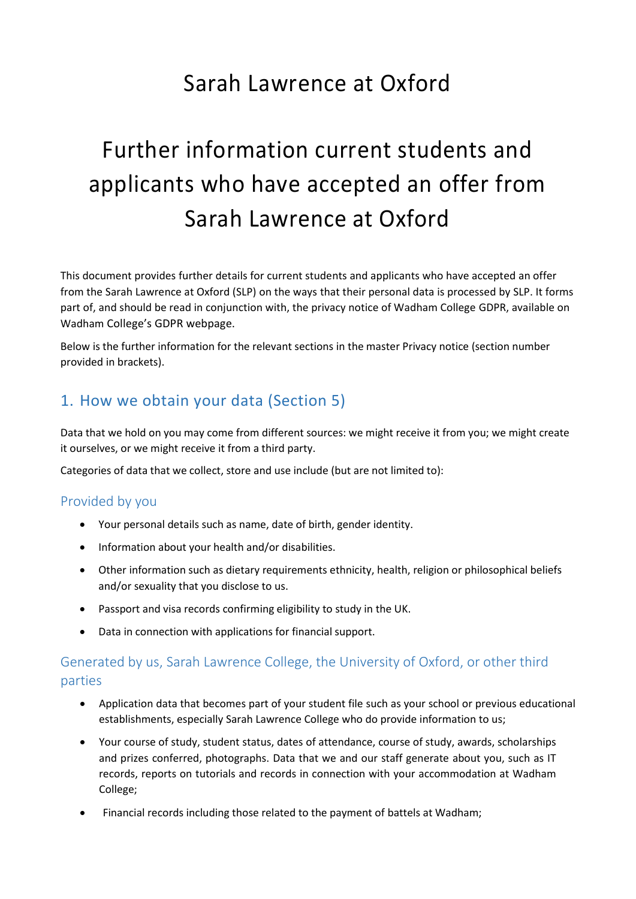## Sarah Lawrence at Oxford

# Further information current students and applicants who have accepted an offer from Sarah Lawrence at Oxford

This document provides further details for current students and applicants who have accepted an offer from the Sarah Lawrence at Oxford (SLP) on the ways that their personal data is processed by SLP. It forms part of, and should be read in conjunction with, the privacy notice of Wadham College GDPR, available on Wadham College's GDPR webpage.

Below is the further information for the relevant sections in the master Privacy notice (section number provided in brackets).

## 1. How we obtain your data (Section 5)

Data that we hold on you may come from different sources: we might receive it from you; we might create it ourselves, or we might receive it from a third party.

Categories of data that we collect, store and use include (but are not limited to):

#### Provided by you

- Your personal details such as name, date of birth, gender identity.
- Information about your health and/or disabilities.
- Other information such as dietary requirements ethnicity, health, religion or philosophical beliefs and/or sexuality that you disclose to us.
- Passport and visa records confirming eligibility to study in the UK.
- Data in connection with applications for financial support.

### Generated by us, Sarah Lawrence College, the University of Oxford, or other third parties

- Application data that becomes part of your student file such as your school or previous educational establishments, especially Sarah Lawrence College who do provide information to us;
- Your course of study, student status, dates of attendance, course of study, awards, scholarships and prizes conferred, photographs. Data that we and our staff generate about you, such as IT records, reports on tutorials and records in connection with your accommodation at Wadham College;
- Financial records including those related to the payment of battels at Wadham;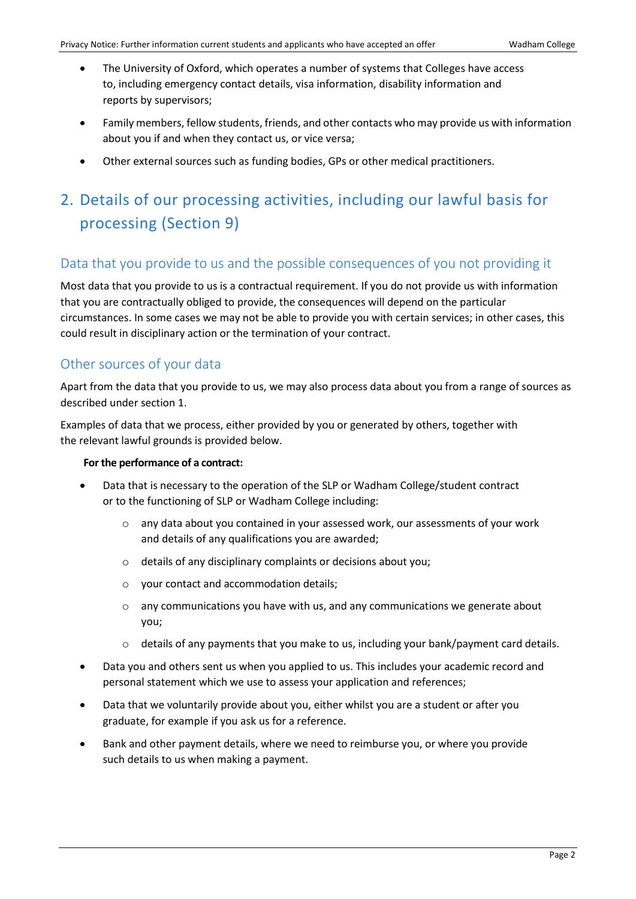- The University of Oxford, which operates a number of systems that Colleges have access to, including emergency contact details, visa information, disability information and reports by supervisors;
- Family members, fellow students, friends, and other contacts who may provide us with information about you if and when they contact us, or vice versa;
- Other external sources such as funding bodies, GPs or other medical practitioners.

## 2. Details of our processing activities, including our lawful basis for processing (Section 9)

#### Data that you provide to us and the possible consequences of you not providing it

Most data that you provide to us is a contractual requirement. If you do not provide us with information that you are contractually obliged to provide, the consequences will depend on the particular circumstances. In some cases we may not be able to provide you with certain services; in other cases, this could result in disciplinary action or the termination of your contract.

#### Other sources of your data

Apart from the data that you provide to us, we may also process data about you from a range of sources as described under section 1.

Examples of data that we process, either provided by you or generated by others, together with the relevant lawful grounds is provided below.

#### **For the performance of a contract:**

- Data that is necessary to the operation of the SLP or Wadham College/student contract or to the functioning of SLP or Wadham College including:
	- $\circ$  any data about you contained in your assessed work, our assessments of your work and details of any qualifications you are awarded;
	- o details of any disciplinary complaints or decisions about you;
	- o your contact and accommodation details;
	- $\circ$  any communications you have with us, and any communications we generate about you;
	- $\circ$  details of any payments that you make to us, including your bank/payment card details.
- Data you and others sent us when you applied to us. This includes your academic record and personal statement which we use to assess your application and references;
- Data that we voluntarily provide about you, either whilst you are a student or after you graduate, for example if you ask us for a reference.
- Bank and other payment details, where we need to reimburse you, or where you provide such details to us when making a payment.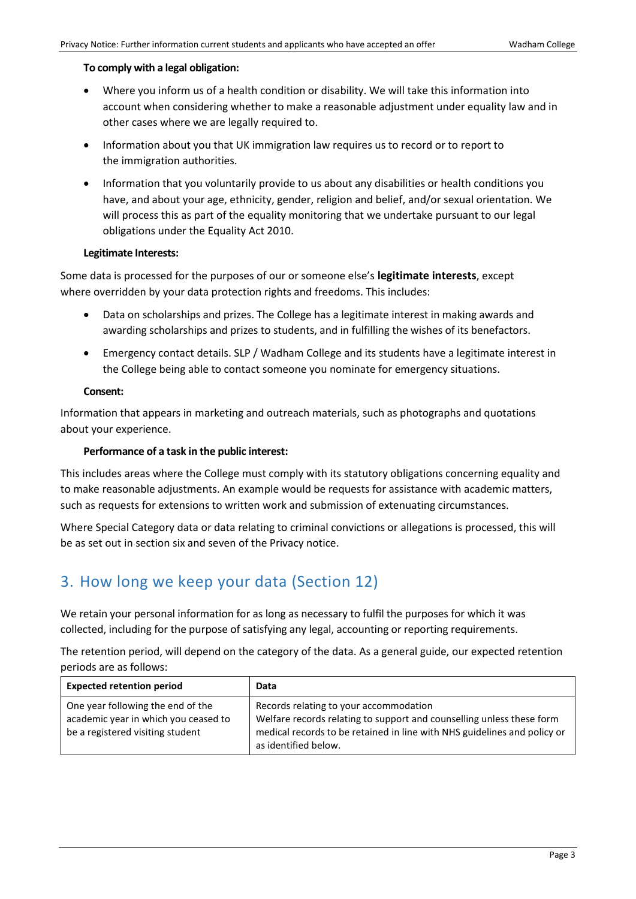#### **To comply with a legal obligation:**

- Where you inform us of a health condition or disability. We will take this information into account when considering whether to make a reasonable adjustment under equality law and in other cases where we are legally required to.
- Information about you that UK immigration law requires us to record or to report to the immigration authorities.
- Information that you voluntarily provide to us about any disabilities or health conditions you have, and about your age, ethnicity, gender, religion and belief, and/or sexual orientation. We will process this as part of the equality monitoring that we undertake pursuant to our legal obligations under the Equality Act 2010.

#### **Legitimate Interests:**

Some data is processed for the purposes of our or someone else's **legitimate interests**, except where overridden by your data protection rights and freedoms. This includes:

- Data on scholarships and prizes. The College has a legitimate interest in making awards and awarding scholarships and prizes to students, and in fulfilling the wishes of its benefactors.
- Emergency contact details. SLP / Wadham College and its students have a legitimate interest in the College being able to contact someone you nominate for emergency situations.

#### **Consent:**

Information that appears in marketing and outreach materials, such as photographs and quotations about your experience.

#### **Performance of a task in the public interest:**

This includes areas where the College must comply with its statutory obligations concerning equality and to make reasonable adjustments. An example would be requests for assistance with academic matters, such as requests for extensions to written work and submission of extenuating circumstances.

Where Special Category data or data relating to criminal convictions or allegations is processed, this will be as set out in section six and seven of the Privacy notice.

## 3. How long we keep your data (Section 12)

We retain your personal information for as long as necessary to fulfil the purposes for which it was collected, including for the purpose of satisfying any legal, accounting or reporting requirements.

The retention period, will depend on the category of the data. As a general guide, our expected retention periods are as follows:

| <b>Expected retention period</b>                                                                              | Data                                                                                                                                                                                                                |
|---------------------------------------------------------------------------------------------------------------|---------------------------------------------------------------------------------------------------------------------------------------------------------------------------------------------------------------------|
| One year following the end of the<br>academic year in which you ceased to<br>be a registered visiting student | Records relating to your accommodation<br>Welfare records relating to support and counselling unless these form<br>medical records to be retained in line with NHS guidelines and policy or<br>as identified below. |